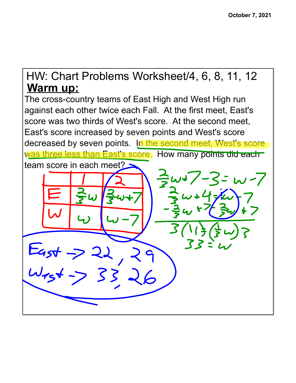## **Warm up:** HW: Chart Problems Worksheet/4, 6, 8, 11, 12

The cross-country teams of East High and West High run against each other twice each Fall. At the first meet, East's score was two thirds of West's score. At the second meet, East's score increased by seven points and West's score decreased by seven points. In the second meet, West's score was three less than East's score. How many points did each team score in each meet?  $L_{45}+32$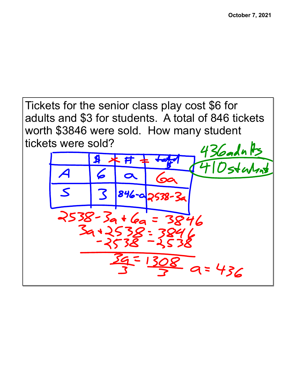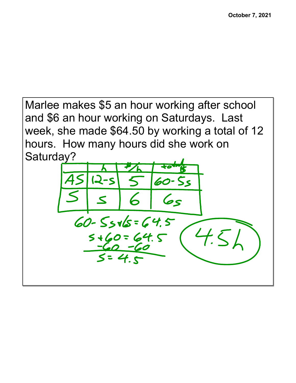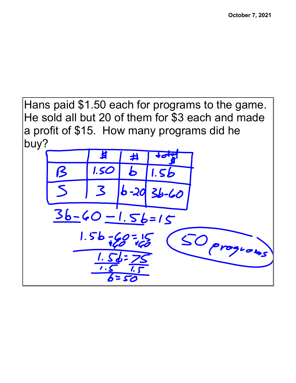Hans paid \$1.50 each for programs to the game. He sold all but 20 of them for \$3 each and made a profit of \$15. How many programs did he buy?

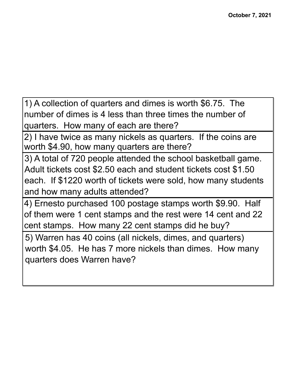1) A collection of quarters and dimes is worth \$6.75. The number of dimes is 4 less than three times the number of quarters. How many of each are there?

2) I have twice as many nickels as quarters. If the coins are worth \$4.90, how many quarters are there?

3) A total of 720 people attended the school basketball game. Adult tickets cost \$2.50 each and student tickets cost \$1.50 each. If \$1220 worth of tickets were sold, how many students and how many adults attended?

4) Ernesto purchased 100 postage stamps worth \$9.90. Half of them were 1 cent stamps and the rest were 14 cent and 22 cent stamps. How many 22 cent stamps did he buy?

5) Warren has 40 coins (all nickels, dimes, and quarters) worth \$4.05. He has 7 more nickels than dimes. How many quarters does Warren have?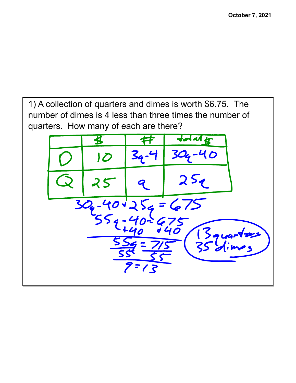1) A collection of quarters and dimes is worth \$6.75. The number of dimes is 4 less than three times the number of quarters. How many of each are there?

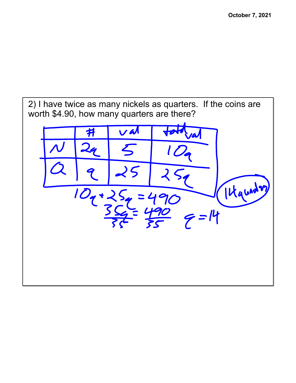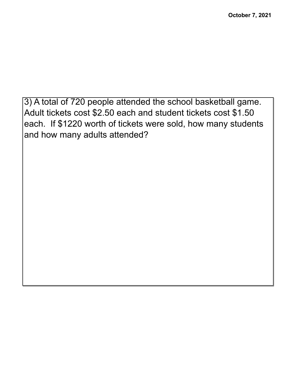3) A total of 720 people attended the school basketball game. Adult tickets cost \$2.50 each and student tickets cost \$1.50 each. If \$1220 worth of tickets were sold, how many students and how many adults attended?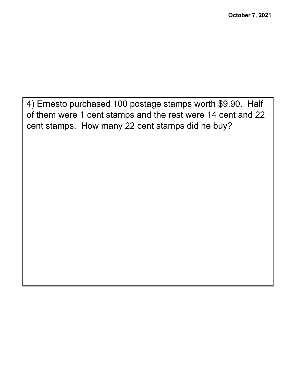4) Ernesto purchased 100 postage stamps worth \$9.90. Half of them were 1 cent stamps and the rest were 14 cent and 22 cent stamps. How many 22 cent stamps did he buy?